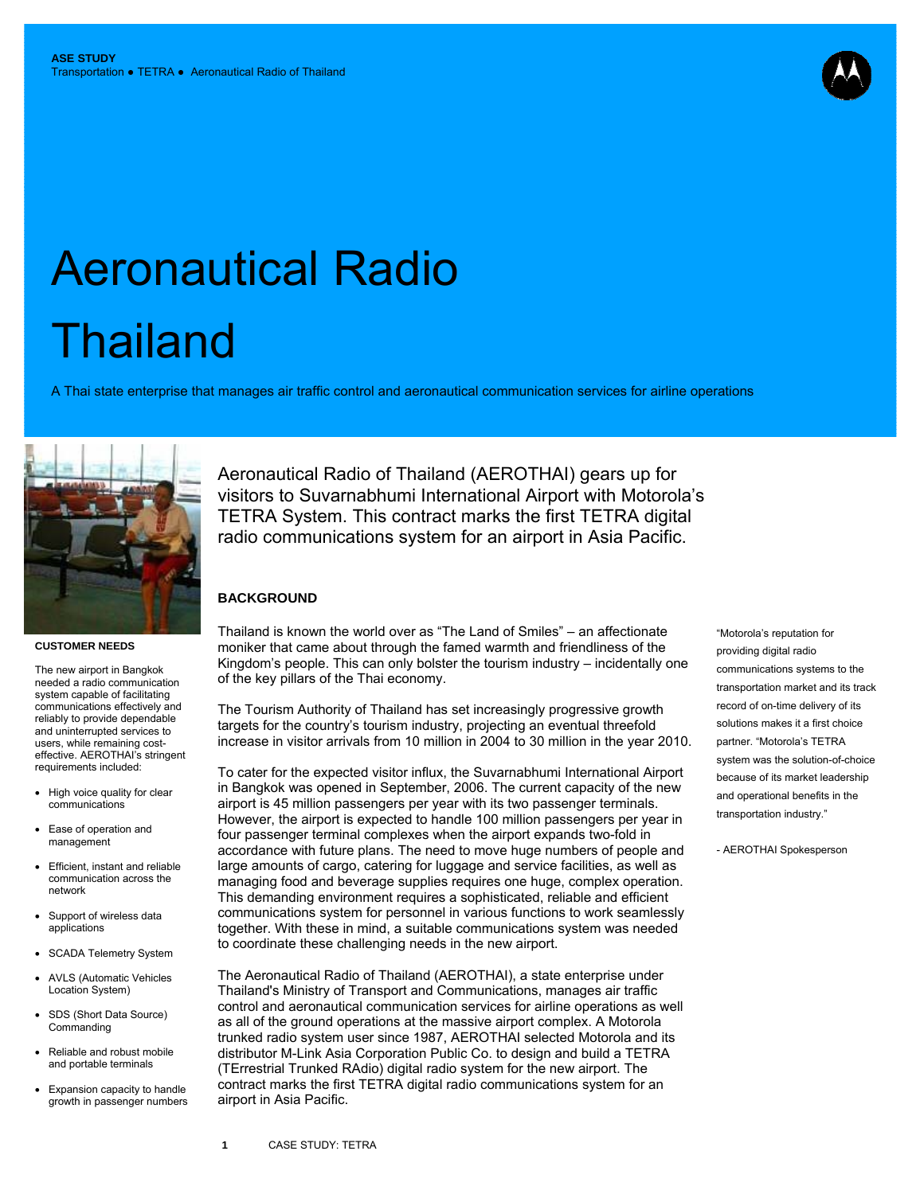

# Aeronautical Radio **Thailand**

A Thai state enterprise that manages air traffic control and aeronautical communication services for airline operations



#### **CUSTOMER NEEDS**

The new airport in Bangkok needed a radio communication system capable of facilitating communications effectively and reliably to provide dependable and uninterrupted services to users, while remaining costeffective. AEROTHAI's stringent requirements included:

- High voice quality for clear communications
- Ease of operation and management
- Efficient, instant and reliable communication across the network
- Support of wireless data applications
- SCADA Telemetry System
- AVLS (Automatic Vehicles Location System)
- SDS (Short Data Source) **Commanding**
- Reliable and robust mobile and portable terminals
- Expansion capacity to handle growth in passenger numbers

Aeronautical Radio of Thailand (AEROTHAI) gears up for visitors to Suvarnabhumi International Airport with Motorola's TETRA System. This contract marks the first TETRA digital radio communications system for an airport in Asia Pacific.

## **BACKGROUND**

Thailand is known the world over as "The Land of Smiles" – an affectionate moniker that came about through the famed warmth and friendliness of the Kingdom's people. This can only bolster the tourism industry – incidentally one of the key pillars of the Thai economy.

The Tourism Authority of Thailand has set increasingly progressive growth targets for the country's tourism industry, projecting an eventual threefold increase in visitor arrivals from 10 million in 2004 to 30 million in the year 2010.

To cater for the expected visitor influx, the Suvarnabhumi International Airport in Bangkok was opened in September, 2006. The current capacity of the new airport is 45 million passengers per year with its two passenger terminals. However, the airport is expected to handle 100 million passengers per year in four passenger terminal complexes when the airport expands two-fold in accordance with future plans. The need to move huge numbers of people and large amounts of cargo, catering for luggage and service facilities, as well as managing food and beverage supplies requires one huge, complex operation. This demanding environment requires a sophisticated, reliable and efficient communications system for personnel in various functions to work seamlessly together. With these in mind, a suitable communications system was needed to coordinate these challenging needs in the new airport.

The Aeronautical Radio of Thailand (AEROTHAI), a state enterprise under Thailand's Ministry of Transport and Communications, manages air traffic control and aeronautical communication services for airline operations as well as all of the ground operations at the massive airport complex. A Motorola trunked radio system user since 1987, AEROTHAI selected Motorola and its distributor M-Link Asia Corporation Public Co. to design and build a TETRA (TErrestrial Trunked RAdio) digital radio system for the new airport. The contract marks the first TETRA digital radio communications system for an airport in Asia Pacific.

"Motorola's reputation for providing digital radio communications systems to the transportation market and its track record of on-time delivery of its solutions makes it a first choice partner. "Motorola's TETRA system was the solution-of-choice because of its market leadership and operational benefits in the transportation industry."

- AEROTHAI Spokesperson